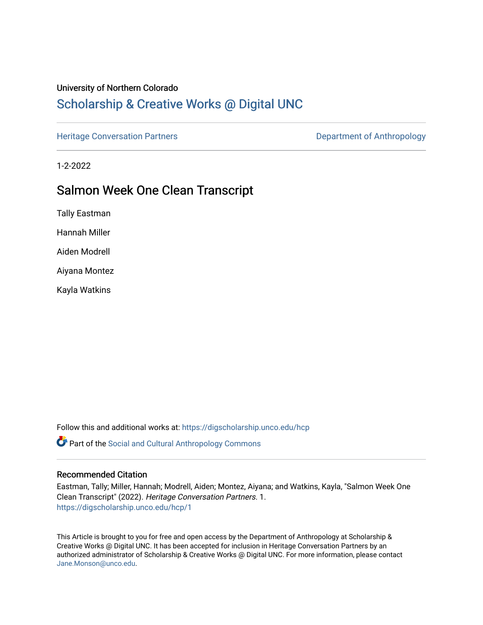#### University of Northern Colorado

# [Scholarship & Creative Works @ Digital UNC](https://digscholarship.unco.edu/)

[Heritage Conversation Partners](https://digscholarship.unco.edu/hcp) **Department of Anthropology** 

1-2-2022

# Salmon Week One Clean Transcript

Tally Eastman

Hannah Miller

Aiden Modrell

Aiyana Montez

Kayla Watkins

Follow this and additional works at: [https://digscholarship.unco.edu/hcp](https://digscholarship.unco.edu/hcp?utm_source=digscholarship.unco.edu%2Fhcp%2F1&utm_medium=PDF&utm_campaign=PDFCoverPages) 

Part of the [Social and Cultural Anthropology Commons](http://network.bepress.com/hgg/discipline/323?utm_source=digscholarship.unco.edu%2Fhcp%2F1&utm_medium=PDF&utm_campaign=PDFCoverPages) 

#### Recommended Citation

Eastman, Tally; Miller, Hannah; Modrell, Aiden; Montez, Aiyana; and Watkins, Kayla, "Salmon Week One Clean Transcript" (2022). Heritage Conversation Partners. 1. [https://digscholarship.unco.edu/hcp/1](https://digscholarship.unco.edu/hcp/1?utm_source=digscholarship.unco.edu%2Fhcp%2F1&utm_medium=PDF&utm_campaign=PDFCoverPages)

This Article is brought to you for free and open access by the Department of Anthropology at Scholarship & Creative Works @ Digital UNC. It has been accepted for inclusion in Heritage Conversation Partners by an authorized administrator of Scholarship & Creative Works @ Digital UNC. For more information, please contact [Jane.Monson@unco.edu.](mailto:Jane.Monson@unco.edu)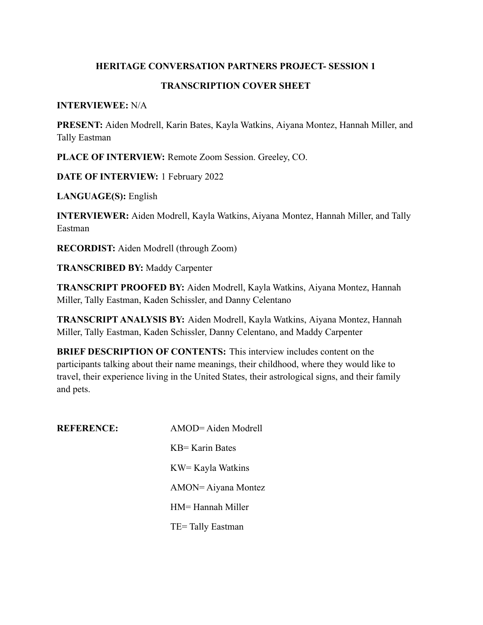#### **HERITAGE CONVERSATION PARTNERS PROJECT- SESSION 1**

#### **TRANSCRIPTION COVER SHEET**

#### **INTERVIEWEE:** N/A

**PRESENT:** Aiden Modrell, Karin Bates, Kayla Watkins, Aiyana Montez, Hannah Miller, and Tally Eastman

**PLACE OF INTERVIEW:** Remote Zoom Session. Greeley, CO.

**DATE OF INTERVIEW:** 1 February 2022

**LANGUAGE(S):** English

**INTERVIEWER:** Aiden Modrell, Kayla Watkins, Aiyana Montez, Hannah Miller, and Tally Eastman

**RECORDIST:** Aiden Modrell (through Zoom)

**TRANSCRIBED BY:** Maddy Carpenter

**TRANSCRIPT PROOFED BY:** Aiden Modrell, Kayla Watkins, Aiyana Montez, Hannah Miller, Tally Eastman, Kaden Schissler, and Danny Celentano

**TRANSCRIPT ANALYSIS BY:** Aiden Modrell, Kayla Watkins, Aiyana Montez, Hannah Miller, Tally Eastman, Kaden Schissler, Danny Celentano, and Maddy Carpenter

**BRIEF DESCRIPTION OF CONTENTS:** This interview includes content on the participants talking about their name meanings, their childhood, where they would like to travel, their experience living in the United States, their astrological signs, and their family and pets.

| <b>REFERENCE:</b> | $AMOD = Aiden Model$       |
|-------------------|----------------------------|
|                   | $KB = Karin$ Bates         |
|                   | KW= Kayla Watkins          |
|                   | <b>AMON= Aiyana Montez</b> |
|                   | HM= Hannah Miller          |
|                   | TE=Tally Eastman           |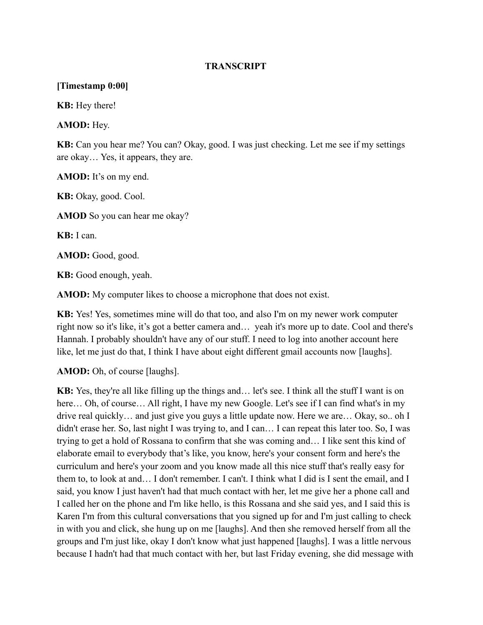#### **TRANSCRIPT**

#### **[Timestamp 0:00]**

**KB:** Hey there!

**AMOD:** Hey.

**KB:** Can you hear me? You can? Okay, good. I was just checking. Let me see if my settings are okay… Yes, it appears, they are.

**AMOD:** It's on my end.

**KB:** Okay, good. Cool.

**AMOD** So you can hear me okay?

**KB:** I can.

**AMOD:** Good, good.

**KB:** Good enough, yeah.

**AMOD:** My computer likes to choose a microphone that does not exist.

**KB:** Yes! Yes, sometimes mine will do that too, and also I'm on my newer work computer right now so it's like, it's got a better camera and… yeah it's more up to date. Cool and there's Hannah. I probably shouldn't have any of our stuff. I need to log into another account here like, let me just do that, I think I have about eight different gmail accounts now [laughs].

**AMOD:** Oh, of course [laughs].

**KB:** Yes, they're all like filling up the things and… let's see. I think all the stuff I want is on here... Oh, of course... All right, I have my new Google. Let's see if I can find what's in my drive real quickly… and just give you guys a little update now. Here we are… Okay, so.. oh I didn't erase her. So, last night I was trying to, and I can… I can repeat this later too. So, I was trying to get a hold of Rossana to confirm that she was coming and… I like sent this kind of elaborate email to everybody that's like, you know, here's your consent form and here's the curriculum and here's your zoom and you know made all this nice stuff that's really easy for them to, to look at and… I don't remember. I can't. I think what I did is I sent the email, and I said, you know I just haven't had that much contact with her, let me give her a phone call and I called her on the phone and I'm like hello, is this Rossana and she said yes, and I said this is Karen I'm from this cultural conversations that you signed up for and I'm just calling to check in with you and click, she hung up on me [laughs]. And then she removed herself from all the groups and I'm just like, okay I don't know what just happened [laughs]. I was a little nervous because I hadn't had that much contact with her, but last Friday evening, she did message with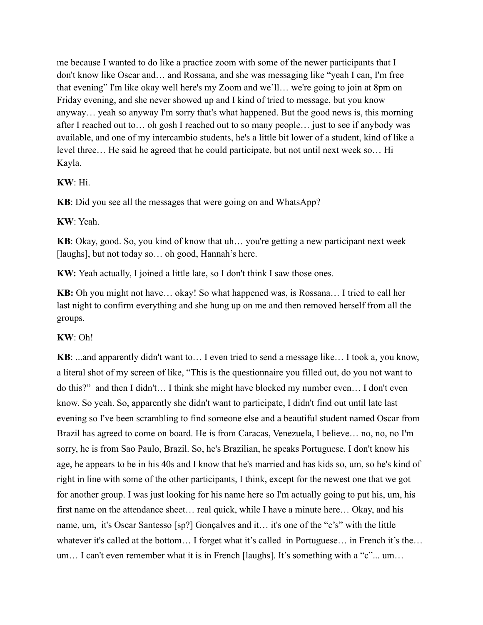me because I wanted to do like a practice zoom with some of the newer participants that I don't know like Oscar and… and Rossana, and she was messaging like "yeah I can, I'm free that evening" I'm like okay well here's my Zoom and we'll… we're going to join at 8pm on Friday evening, and she never showed up and I kind of tried to message, but you know anyway… yeah so anyway I'm sorry that's what happened. But the good news is, this morning after I reached out to… oh gosh I reached out to so many people… just to see if anybody was available, and one of my intercambio students, he's a little bit lower of a student, kind of like a level three… He said he agreed that he could participate, but not until next week so… Hi Kayla.

## **KW**: Hi.

**KB**: Did you see all the messages that were going on and WhatsApp?

## **KW**: Yeah.

**KB**: Okay, good. So, you kind of know that uh… you're getting a new participant next week [laughs], but not today so... oh good, Hannah's here.

**KW:** Yeah actually, I joined a little late, so I don't think I saw those ones.

**KB:** Oh you might not have… okay! So what happened was, is Rossana… I tried to call her last night to confirm everything and she hung up on me and then removed herself from all the groups.

## **KW**: Oh!

**KB**: ...and apparently didn't want to… I even tried to send a message like… I took a, you know, a literal shot of my screen of like, "This is the questionnaire you filled out, do you not want to do this?" and then I didn't… I think she might have blocked my number even… I don't even know. So yeah. So, apparently she didn't want to participate, I didn't find out until late last evening so I've been scrambling to find someone else and a beautiful student named Oscar from Brazil has agreed to come on board. He is from Caracas, Venezuela, I believe… no, no, no I'm sorry, he is from Sao Paulo, Brazil. So, he's Brazilian, he speaks Portuguese. I don't know his age, he appears to be in his 40s and I know that he's married and has kids so, um, so he's kind of right in line with some of the other participants, I think, except for the newest one that we got for another group. I was just looking for his name here so I'm actually going to put his, um, his first name on the attendance sheet… real quick, while I have a minute here… Okay, and his name, um, it's Oscar Santesso [sp?] Gonçalves and it… it's one of the "c's" with the little whatever it's called at the bottom… I forget what it's called in Portuguese… in French it's the… um... I can't even remember what it is in French [laughs]. It's something with a "c"... um...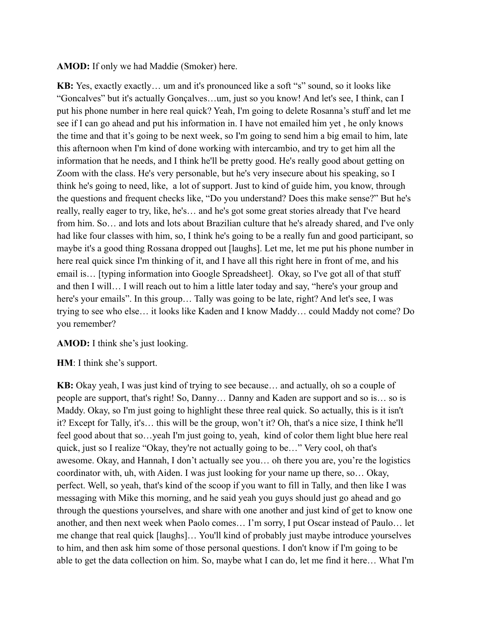**AMOD:** If only we had Maddie (Smoker) here.

**KB:** Yes, exactly exactly… um and it's pronounced like a soft "s" sound, so it looks like "Goncalves" but it's actually Gonçalves…um, just so you know! And let's see, I think, can I put his phone number in here real quick? Yeah, I'm going to delete Rosanna's stuff and let me see if I can go ahead and put his information in. I have not emailed him yet , he only knows the time and that it's going to be next week, so I'm going to send him a big email to him, late this afternoon when I'm kind of done working with intercambio, and try to get him all the information that he needs, and I think he'll be pretty good. He's really good about getting on Zoom with the class. He's very personable, but he's very insecure about his speaking, so I think he's going to need, like, a lot of support. Just to kind of guide him, you know, through the questions and frequent checks like, "Do you understand? Does this make sense?" But he's really, really eager to try, like, he's… and he's got some great stories already that I've heard from him. So… and lots and lots about Brazilian culture that he's already shared, and I've only had like four classes with him, so, I think he's going to be a really fun and good participant, so maybe it's a good thing Rossana dropped out [laughs]. Let me, let me put his phone number in here real quick since I'm thinking of it, and I have all this right here in front of me, and his email is… [typing information into Google Spreadsheet]. Okay, so I've got all of that stuff and then I will… I will reach out to him a little later today and say, "here's your group and here's your emails". In this group... Tally was going to be late, right? And let's see, I was trying to see who else… it looks like Kaden and I know Maddy… could Maddy not come? Do you remember?

## **AMOD:** I think she's just looking.

**HM**: I think she's support.

**KB:** Okay yeah, I was just kind of trying to see because… and actually, oh so a couple of people are support, that's right! So, Danny… Danny and Kaden are support and so is… so is Maddy. Okay, so I'm just going to highlight these three real quick. So actually, this is it isn't it? Except for Tally, it's… this will be the group, won't it? Oh, that's a nice size, I think he'll feel good about that so…yeah I'm just going to, yeah, kind of color them light blue here real quick, just so I realize "Okay, they're not actually going to be…" Very cool, oh that's awesome. Okay, and Hannah, I don't actually see you… oh there you are, you're the logistics coordinator with, uh, with Aiden. I was just looking for your name up there, so… Okay, perfect. Well, so yeah, that's kind of the scoop if you want to fill in Tally, and then like I was messaging with Mike this morning, and he said yeah you guys should just go ahead and go through the questions yourselves, and share with one another and just kind of get to know one another, and then next week when Paolo comes… I'm sorry, I put Oscar instead of Paulo… let me change that real quick [laughs]… You'll kind of probably just maybe introduce yourselves to him, and then ask him some of those personal questions. I don't know if I'm going to be able to get the data collection on him. So, maybe what I can do, let me find it here… What I'm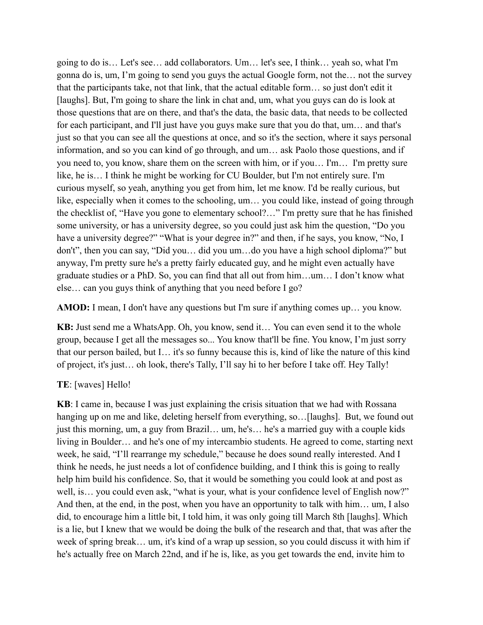going to do is… Let's see… add collaborators. Um… let's see, I think… yeah so, what I'm gonna do is, um, I'm going to send you guys the actual Google form, not the… not the survey that the participants take, not that link, that the actual editable form… so just don't edit it [laughs]. But, I'm going to share the link in chat and, um, what you guys can do is look at those questions that are on there, and that's the data, the basic data, that needs to be collected for each participant, and I'll just have you guys make sure that you do that, um… and that's just so that you can see all the questions at once, and so it's the section, where it says personal information, and so you can kind of go through, and um… ask Paolo those questions, and if you need to, you know, share them on the screen with him, or if you… I'm… I'm pretty sure like, he is… I think he might be working for CU Boulder, but I'm not entirely sure. I'm curious myself, so yeah, anything you get from him, let me know. I'd be really curious, but like, especially when it comes to the schooling, um… you could like, instead of going through the checklist of, "Have you gone to elementary school?…" I'm pretty sure that he has finished some university, or has a university degree, so you could just ask him the question, "Do you have a university degree?" "What is your degree in?" and then, if he says, you know, "No, I don't", then you can say, "Did you… did you um…do you have a high school diploma?" but anyway, I'm pretty sure he's a pretty fairly educated guy, and he might even actually have graduate studies or a PhD. So, you can find that all out from him…um… I don't know what else… can you guys think of anything that you need before I go?

**AMOD:** I mean, I don't have any questions but I'm sure if anything comes up… you know.

**KB:** Just send me a WhatsApp. Oh, you know, send it… You can even send it to the whole group, because I get all the messages so... You know that'll be fine. You know, I'm just sorry that our person bailed, but I… it's so funny because this is, kind of like the nature of this kind of project, it's just… oh look, there's Tally, I'll say hi to her before I take off. Hey Tally!

## **TE**: [waves] Hello!

**KB**: I came in, because I was just explaining the crisis situation that we had with Rossana hanging up on me and like, deleting herself from everything, so...[laughs]. But, we found out just this morning, um, a guy from Brazil… um, he's… he's a married guy with a couple kids living in Boulder… and he's one of my intercambio students. He agreed to come, starting next week, he said, "I'll rearrange my schedule," because he does sound really interested. And I think he needs, he just needs a lot of confidence building, and I think this is going to really help him build his confidence. So, that it would be something you could look at and post as well, is... you could even ask, "what is your, what is your confidence level of English now?" And then, at the end, in the post, when you have an opportunity to talk with him… um, I also did, to encourage him a little bit, I told him, it was only going till March 8th [laughs]. Which is a lie, but I knew that we would be doing the bulk of the research and that, that was after the week of spring break… um, it's kind of a wrap up session, so you could discuss it with him if he's actually free on March 22nd, and if he is, like, as you get towards the end, invite him to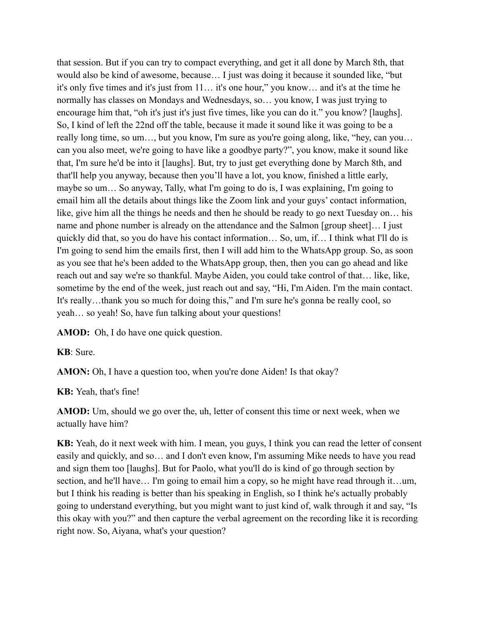that session. But if you can try to compact everything, and get it all done by March 8th, that would also be kind of awesome, because… I just was doing it because it sounded like, "but it's only five times and it's just from 11… it's one hour," you know… and it's at the time he normally has classes on Mondays and Wednesdays, so… you know, I was just trying to encourage him that, "oh it's just it's just five times, like you can do it." you know? [laughs]. So, I kind of left the 22nd off the table, because it made it sound like it was going to be a really long time, so um…, but you know, I'm sure as you're going along, like, "hey, can you… can you also meet, we're going to have like a goodbye party?", you know, make it sound like that, I'm sure he'd be into it [laughs]. But, try to just get everything done by March 8th, and that'll help you anyway, because then you'll have a lot, you know, finished a little early, maybe so um… So anyway, Tally, what I'm going to do is, I was explaining, I'm going to email him all the details about things like the Zoom link and your guys' contact information, like, give him all the things he needs and then he should be ready to go next Tuesday on… his name and phone number is already on the attendance and the Salmon [group sheet]… I just quickly did that, so you do have his contact information… So, um, if… I think what I'll do is I'm going to send him the emails first, then I will add him to the WhatsApp group. So, as soon as you see that he's been added to the WhatsApp group, then, then you can go ahead and like reach out and say we're so thankful. Maybe Aiden, you could take control of that… like, like, sometime by the end of the week, just reach out and say, "Hi, I'm Aiden. I'm the main contact. It's really…thank you so much for doing this," and I'm sure he's gonna be really cool, so yeah… so yeah! So, have fun talking about your questions!

**AMOD:** Oh, I do have one quick question.

**KB**: Sure.

AMON: Oh, I have a question too, when you're done Aiden! Is that okay?

**KB:** Yeah, that's fine!

**AMOD:** Um, should we go over the, uh, letter of consent this time or next week, when we actually have him?

**KB:** Yeah, do it next week with him. I mean, you guys, I think you can read the letter of consent easily and quickly, and so… and I don't even know, I'm assuming Mike needs to have you read and sign them too [laughs]. But for Paolo, what you'll do is kind of go through section by section, and he'll have... I'm going to email him a copy, so he might have read through it...um, but I think his reading is better than his speaking in English, so I think he's actually probably going to understand everything, but you might want to just kind of, walk through it and say, "Is this okay with you?" and then capture the verbal agreement on the recording like it is recording right now. So, Aiyana, what's your question?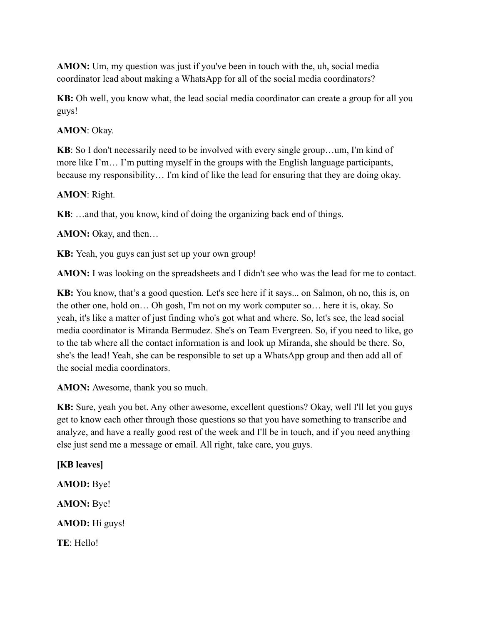**AMON:** Um, my question was just if you've been in touch with the, uh, social media coordinator lead about making a WhatsApp for all of the social media coordinators?

**KB:** Oh well, you know what, the lead social media coordinator can create a group for all you guys!

# **AMON**: Okay.

**KB**: So I don't necessarily need to be involved with every single group…um, I'm kind of more like I'm… I'm putting myself in the groups with the English language participants, because my responsibility… I'm kind of like the lead for ensuring that they are doing okay.

## **AMON**: Right.

**KB**: …and that, you know, kind of doing the organizing back end of things.

**AMON:** Okay, and then…

**KB:** Yeah, you guys can just set up your own group!

**AMON:** I was looking on the spreadsheets and I didn't see who was the lead for me to contact.

**KB:** You know, that's a good question. Let's see here if it says... on Salmon, oh no, this is, on the other one, hold on… Oh gosh, I'm not on my work computer so… here it is, okay. So yeah, it's like a matter of just finding who's got what and where. So, let's see, the lead social media coordinator is Miranda Bermudez. She's on Team Evergreen. So, if you need to like, go to the tab where all the contact information is and look up Miranda, she should be there. So, she's the lead! Yeah, she can be responsible to set up a WhatsApp group and then add all of the social media coordinators.

**AMON:** Awesome, thank you so much.

**KB:** Sure, yeah you bet. Any other awesome, excellent questions? Okay, well I'll let you guys get to know each other through those questions so that you have something to transcribe and analyze, and have a really good rest of the week and I'll be in touch, and if you need anything else just send me a message or email. All right, take care, you guys.

**[KB leaves] AMOD:** Bye! **AMON:** Bye! **AMOD:** Hi guys! **TE**: Hello!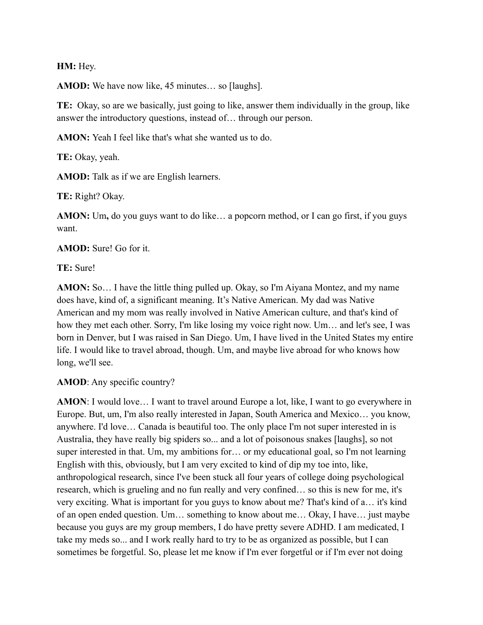#### **HM:** Hey.

**AMOD:** We have now like, 45 minutes… so [laughs].

**TE:** Okay, so are we basically, just going to like, answer them individually in the group, like answer the introductory questions, instead of… through our person.

**AMON:** Yeah I feel like that's what she wanted us to do.

**TE:** Okay, yeah.

**AMOD:** Talk as if we are English learners.

**TE:** Right? Okay.

**AMON:** Um**,** do you guys want to do like… a popcorn method, or I can go first, if you guys want.

#### **AMOD:** Sure! Go for it.

**TE:** Sure!

**AMON:** So… I have the little thing pulled up. Okay, so I'm Aiyana Montez, and my name does have, kind of, a significant meaning. It's Native American. My dad was Native American and my mom was really involved in Native American culture, and that's kind of how they met each other. Sorry, I'm like losing my voice right now. Um... and let's see, I was born in Denver, but I was raised in San Diego. Um, I have lived in the United States my entire life. I would like to travel abroad, though. Um, and maybe live abroad for who knows how long, we'll see.

**AMOD**: Any specific country?

**AMON**: I would love… I want to travel around Europe a lot, like, I want to go everywhere in Europe. But, um, I'm also really interested in Japan, South America and Mexico… you know, anywhere. I'd love… Canada is beautiful too. The only place I'm not super interested in is Australia, they have really big spiders so... and a lot of poisonous snakes [laughs], so not super interested in that. Um, my ambitions for… or my educational goal, so I'm not learning English with this, obviously, but I am very excited to kind of dip my toe into, like, anthropological research, since I've been stuck all four years of college doing psychological research, which is grueling and no fun really and very confined… so this is new for me, it's very exciting. What is important for you guys to know about me? That's kind of a… it's kind of an open ended question. Um… something to know about me… Okay, I have… just maybe because you guys are my group members, I do have pretty severe ADHD. I am medicated, I take my meds so... and I work really hard to try to be as organized as possible, but I can sometimes be forgetful. So, please let me know if I'm ever forgetful or if I'm ever not doing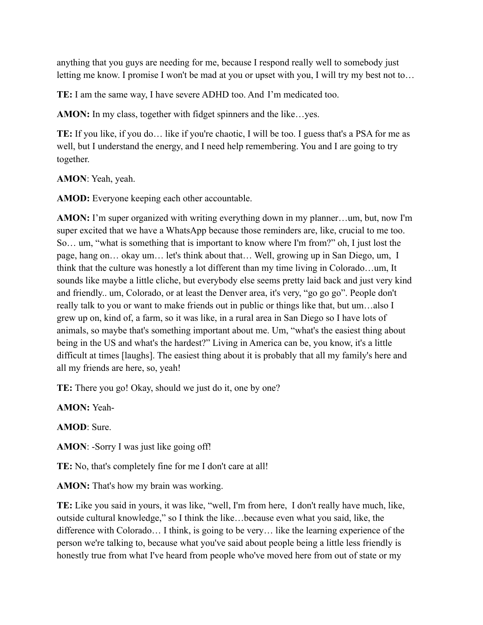anything that you guys are needing for me, because I respond really well to somebody just letting me know. I promise I won't be mad at you or upset with you, I will try my best not to…

**TE:** I am the same way, I have severe ADHD too. And I'm medicated too.

**AMON:** In my class, together with fidget spinners and the like…yes.

**TE:** If you like, if you do… like if you're chaotic, I will be too. I guess that's a PSA for me as well, but I understand the energy, and I need help remembering. You and I are going to try together.

**AMON**: Yeah, yeah.

**AMOD:** Everyone keeping each other accountable.

**AMON:** I'm super organized with writing everything down in my planner…um, but, now I'm super excited that we have a WhatsApp because those reminders are, like, crucial to me too. So… um, "what is something that is important to know where I'm from?" oh, I just lost the page, hang on… okay um… let's think about that… Well, growing up in San Diego, um, I think that the culture was honestly a lot different than my time living in Colorado…um, It sounds like maybe a little cliche, but everybody else seems pretty laid back and just very kind and friendly.. um, Colorado, or at least the Denver area, it's very, "go go go". People don't really talk to you or want to make friends out in public or things like that, but um…also I grew up on, kind of, a farm, so it was like, in a rural area in San Diego so I have lots of animals, so maybe that's something important about me. Um, "what's the easiest thing about being in the US and what's the hardest?" Living in America can be, you know, it's a little difficult at times [laughs]. The easiest thing about it is probably that all my family's here and all my friends are here, so, yeah!

**TE:** There you go! Okay, should we just do it, one by one?

**AMON:** Yeah-

**AMOD**: Sure.

**AMON**: -Sorry I was just like going off!

**TE:** No, that's completely fine for me I don't care at all!

**AMON:** That's how my brain was working.

**TE:** Like you said in yours, it was like, "well, I'm from here, I don't really have much, like, outside cultural knowledge," so I think the like…because even what you said, like, the difference with Colorado… I think, is going to be very… like the learning experience of the person we're talking to, because what you've said about people being a little less friendly is honestly true from what I've heard from people who've moved here from out of state or my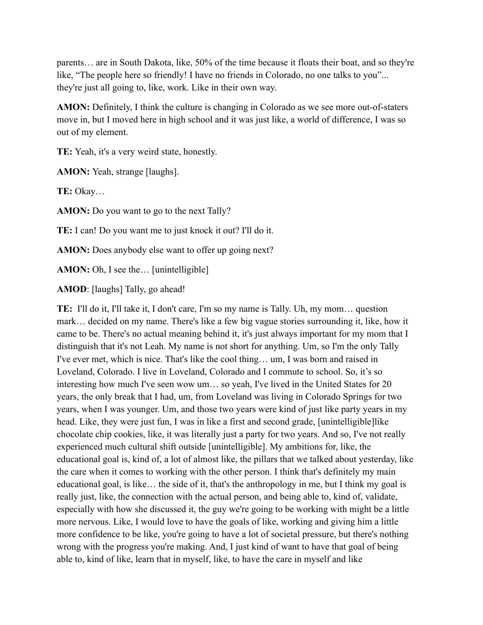parents… are in South Dakota, like, 50% of the time because it floats their boat, and so they're like, "The people here so friendly! I have no friends in Colorado, no one talks to you"... they're just all going to, like, work. Like in their own way.

**AMON:** Definitely, I think the culture is changing in Colorado as we see more out-of-staters move in, but I moved here in high school and it was just like, a world of difference, I was so out of my element.

**TE:** Yeah, it's a very weird state, honestly.

**AMON:** Yeah, strange [laughs].

**TE:** Okay…

**AMON:** Do you want to go to the next Tally?

**TE:** I can! Do you want me to just knock it out? I'll do it.

**AMON:** Does anybody else want to offer up going next?

**AMON:** Oh, I see the… [unintelligible]

**AMOD**: [laughs] Tally, go ahead!

**TE:** I'll do it, I'll take it, I don't care, I'm so my name is Tally. Uh, my mom… question mark… decided on my name. There's like a few big vague stories surrounding it, like, how it came to be. There's no actual meaning behind it, it's just always important for my mom that I distinguish that it's not Leah. My name is not short for anything. Um, so I'm the only Tally I've ever met, which is nice. That's like the cool thing… um, I was born and raised in Loveland, Colorado. I live in Loveland, Colorado and I commute to school. So, it's so interesting how much I've seen wow um… so yeah, I've lived in the United States for 20 years, the only break that I had, um, from Loveland was living in Colorado Springs for two years, when I was younger. Um, and those two years were kind of just like party years in my head. Like, they were just fun, I was in like a first and second grade, [unintelligible]like chocolate chip cookies, like, it was literally just a party for two years. And so, I've not really experienced much cultural shift outside [unintelligible]. My ambitions for, like, the educational goal is, kind of, a lot of almost like, the pillars that we talked about yesterday, like the care when it comes to working with the other person. I think that's definitely my main educational goal, is like… the side of it, that's the anthropology in me, but I think my goal is really just, like, the connection with the actual person, and being able to, kind of, validate, especially with how she discussed it, the guy we're going to be working with might be a little more nervous. Like, I would love to have the goals of like, working and giving him a little more confidence to be like, you're going to have a lot of societal pressure, but there's nothing wrong with the progress you're making. And, I just kind of want to have that goal of being able to, kind of like, learn that in myself, like, to have the care in myself and like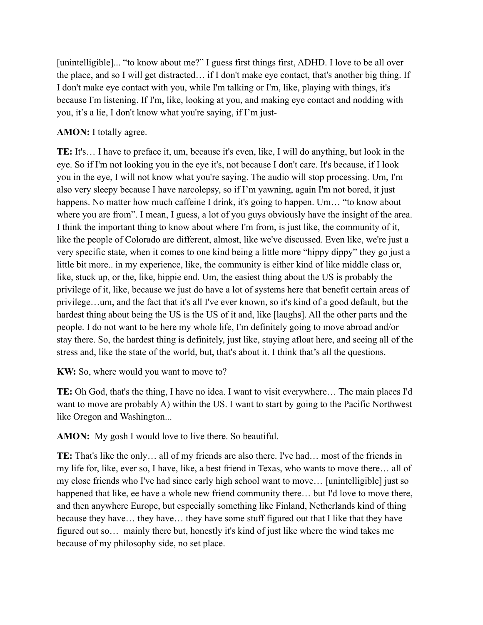[unintelligible]... "to know about me?" I guess first things first, ADHD. I love to be all over the place, and so I will get distracted… if I don't make eye contact, that's another big thing. If I don't make eye contact with you, while I'm talking or I'm, like, playing with things, it's because I'm listening. If I'm, like, looking at you, and making eye contact and nodding with you, it's a lie, I don't know what you're saying, if I'm just-

# **AMON:** I totally agree.

**TE:** It's… I have to preface it, um, because it's even, like, I will do anything, but look in the eye. So if I'm not looking you in the eye it's, not because I don't care. It's because, if I look you in the eye, I will not know what you're saying. The audio will stop processing. Um, I'm also very sleepy because I have narcolepsy, so if I'm yawning, again I'm not bored, it just happens. No matter how much caffeine I drink, it's going to happen. Um... "to know about where you are from". I mean, I guess, a lot of you guys obviously have the insight of the area. I think the important thing to know about where I'm from, is just like, the community of it, like the people of Colorado are different, almost, like we've discussed. Even like, we're just a very specific state, when it comes to one kind being a little more "hippy dippy" they go just a little bit more.. in my experience, like, the community is either kind of like middle class or, like, stuck up, or the, like, hippie end. Um, the easiest thing about the US is probably the privilege of it, like, because we just do have a lot of systems here that benefit certain areas of privilege…um, and the fact that it's all I've ever known, so it's kind of a good default, but the hardest thing about being the US is the US of it and, like [laughs]. All the other parts and the people. I do not want to be here my whole life, I'm definitely going to move abroad and/or stay there. So, the hardest thing is definitely, just like, staying afloat here, and seeing all of the stress and, like the state of the world, but, that's about it. I think that's all the questions.

**KW:** So, where would you want to move to?

**TE:** Oh God, that's the thing, I have no idea. I want to visit everywhere… The main places I'd want to move are probably A) within the US. I want to start by going to the Pacific Northwest like Oregon and Washington...

**AMON:** My gosh I would love to live there. So beautiful.

**TE:** That's like the only… all of my friends are also there. I've had… most of the friends in my life for, like, ever so, I have, like, a best friend in Texas, who wants to move there… all of my close friends who I've had since early high school want to move… [unintelligible] just so happened that like, ee have a whole new friend community there… but I'd love to move there, and then anywhere Europe, but especially something like Finland, Netherlands kind of thing because they have… they have… they have some stuff figured out that I like that they have figured out so… mainly there but, honestly it's kind of just like where the wind takes me because of my philosophy side, no set place.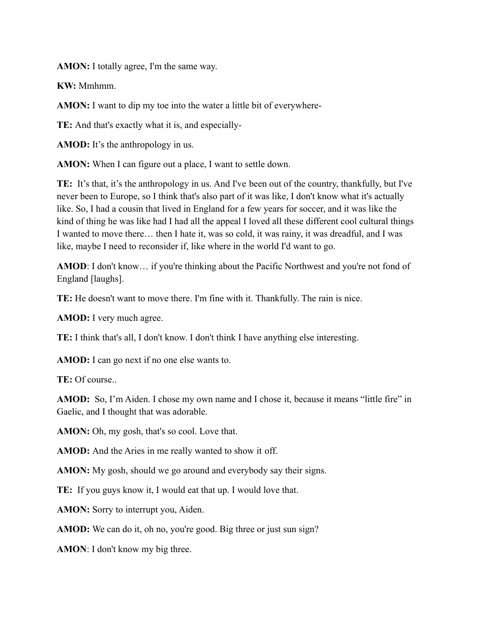**AMON:** I totally agree, I'm the same way.

**KW:** Mmhmm.

**AMON:** I want to dip my toe into the water a little bit of everywhere-

**TE:** And that's exactly what it is, and especially-

**AMOD:** It's the anthropology in us.

**AMON:** When I can figure out a place, I want to settle down.

**TE:** It's that, it's the anthropology in us. And I've been out of the country, thankfully, but I've never been to Europe, so I think that's also part of it was like, I don't know what it's actually like. So, I had a cousin that lived in England for a few years for soccer, and it was like the kind of thing he was like had I had all the appeal I loved all these different cool cultural things I wanted to move there… then I hate it, was so cold, it was rainy, it was dreadful, and I was like, maybe I need to reconsider if, like where in the world I'd want to go.

**AMOD**: I don't know... if you're thinking about the Pacific Northwest and you're not fond of England [laughs].

**TE:** He doesn't want to move there. I'm fine with it. Thankfully. The rain is nice.

**AMOD:** I very much agree.

**TE:** I think that's all, I don't know. I don't think I have anything else interesting.

**AMOD:** I can go next if no one else wants to.

**TE:** Of course..

**AMOD:** So, I'm Aiden. I chose my own name and I chose it, because it means "little fire" in Gaelic, and I thought that was adorable.

**AMON:** Oh, my gosh, that's so cool. Love that.

**AMOD:** And the Aries in me really wanted to show it off.

**AMON:** My gosh, should we go around and everybody say their signs.

**TE:** If you guys know it, I would eat that up. I would love that.

**AMON:** Sorry to interrupt you, Aiden.

**AMOD:** We can do it, oh no, you're good. Big three or just sun sign?

**AMON**: I don't know my big three.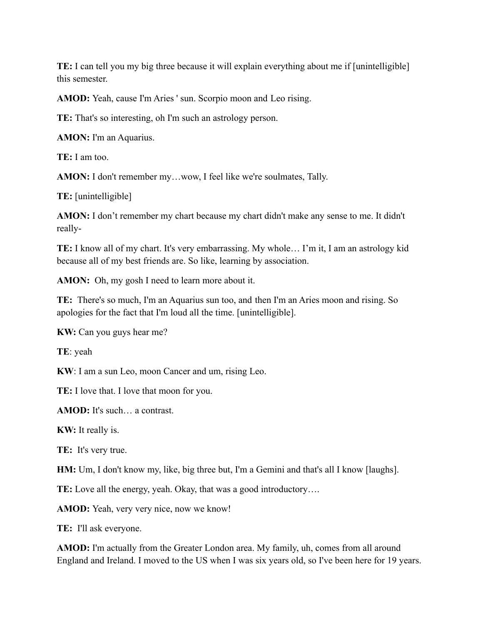**TE:** I can tell you my big three because it will explain everything about me if [unintelligible] this semester.

**AMOD:** Yeah, cause I'm Aries ' sun. Scorpio moon and Leo rising.

**TE:** That's so interesting, oh I'm such an astrology person.

**AMON:** I'm an Aquarius.

**TE:** I am too.

**AMON:** I don't remember my…wow, I feel like we're soulmates, Tally.

**TE:** [unintelligible]

**AMON:** I don't remember my chart because my chart didn't make any sense to me. It didn't really-

**TE:** I know all of my chart. It's very embarrassing. My whole… I'm it, I am an astrology kid because all of my best friends are. So like, learning by association.

**AMON:** Oh, my gosh I need to learn more about it.

**TE:** There's so much, I'm an Aquarius sun too, and then I'm an Aries moon and rising. So apologies for the fact that I'm loud all the time. [unintelligible].

**KW:** Can you guys hear me?

**TE**: yeah

**KW**: I am a sun Leo, moon Cancer and um, rising Leo.

**TE:** I love that. I love that moon for you.

**AMOD:** It's such… a contrast.

**KW:** It really is.

**TE:** It's very true.

**HM:** Um, I don't know my, like, big three but, I'm a Gemini and that's all I know [laughs].

**TE:** Love all the energy, yeah. Okay, that was a good introductory….

**AMOD:** Yeah, very very nice, now we know!

**TE:** I'll ask everyone.

**AMOD:** I'm actually from the Greater London area. My family, uh, comes from all around England and Ireland. I moved to the US when I was six years old, so I've been here for 19 years.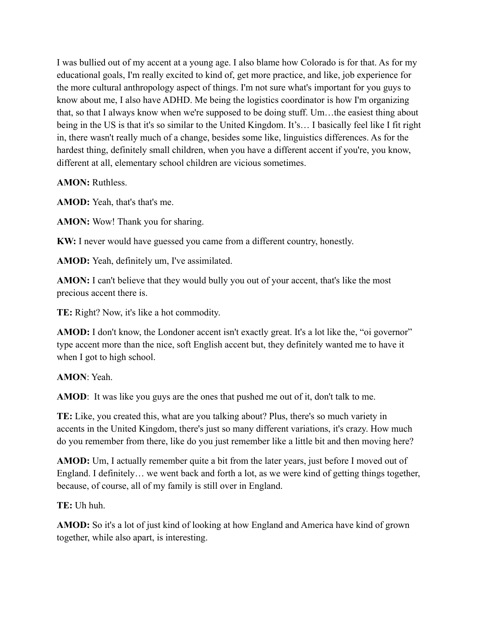I was bullied out of my accent at a young age. I also blame how Colorado is for that. As for my educational goals, I'm really excited to kind of, get more practice, and like, job experience for the more cultural anthropology aspect of things. I'm not sure what's important for you guys to know about me, I also have ADHD. Me being the logistics coordinator is how I'm organizing that, so that I always know when we're supposed to be doing stuff. Um…the easiest thing about being in the US is that it's so similar to the United Kingdom. It's… I basically feel like I fit right in, there wasn't really much of a change, besides some like, linguistics differences. As for the hardest thing, definitely small children, when you have a different accent if you're, you know, different at all, elementary school children are vicious sometimes.

**AMON:** Ruthless.

**AMOD:** Yeah, that's that's me.

**AMON:** Wow! Thank you for sharing.

**KW:** I never would have guessed you came from a different country, honestly.

**AMOD:** Yeah, definitely um, I've assimilated.

**AMON:** I can't believe that they would bully you out of your accent, that's like the most precious accent there is.

**TE:** Right? Now, it's like a hot commodity.

**AMOD:** I don't know, the Londoner accent isn't exactly great. It's a lot like the, "oi governor" type accent more than the nice, soft English accent but, they definitely wanted me to have it when I got to high school.

**AMON**: Yeah.

**AMOD**: It was like you guys are the ones that pushed me out of it, don't talk to me.

**TE:** Like, you created this, what are you talking about? Plus, there's so much variety in accents in the United Kingdom, there's just so many different variations, it's crazy. How much do you remember from there, like do you just remember like a little bit and then moving here?

**AMOD:** Um, I actually remember quite a bit from the later years, just before I moved out of England. I definitely… we went back and forth a lot, as we were kind of getting things together, because, of course, all of my family is still over in England.

**TE:** Uh huh.

**AMOD:** So it's a lot of just kind of looking at how England and America have kind of grown together, while also apart, is interesting.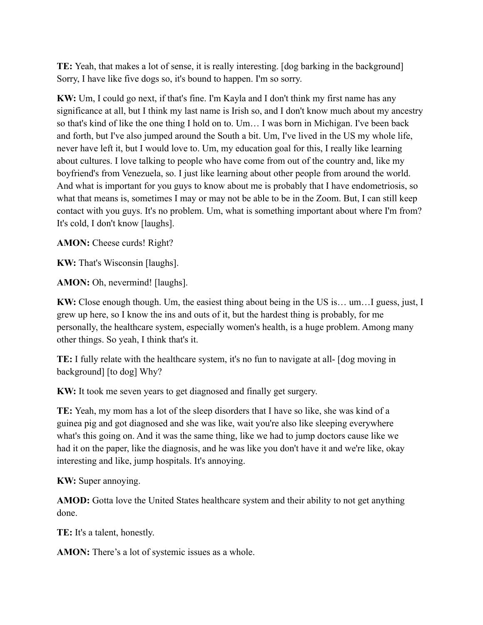**TE:** Yeah, that makes a lot of sense, it is really interesting. [dog barking in the background] Sorry, I have like five dogs so, it's bound to happen. I'm so sorry.

**KW:** Um, I could go next, if that's fine. I'm Kayla and I don't think my first name has any significance at all, but I think my last name is Irish so, and I don't know much about my ancestry so that's kind of like the one thing I hold on to. Um… I was born in Michigan. I've been back and forth, but I've also jumped around the South a bit. Um, I've lived in the US my whole life, never have left it, but I would love to. Um, my education goal for this, I really like learning about cultures. I love talking to people who have come from out of the country and, like my boyfriend's from Venezuela, so. I just like learning about other people from around the world. And what is important for you guys to know about me is probably that I have endometriosis, so what that means is, sometimes I may or may not be able to be in the Zoom. But, I can still keep contact with you guys. It's no problem. Um, what is something important about where I'm from? It's cold, I don't know [laughs].

**AMON:** Cheese curds! Right?

**KW:** That's Wisconsin [laughs].

**AMON:** Oh, nevermind! [laughs].

**KW:** Close enough though. Um, the easiest thing about being in the US is… um…I guess, just, I grew up here, so I know the ins and outs of it, but the hardest thing is probably, for me personally, the healthcare system, especially women's health, is a huge problem. Among many other things. So yeah, I think that's it.

**TE:** I fully relate with the healthcare system, it's no fun to navigate at all- [dog moving in background] [to dog] Why?

**KW:** It took me seven years to get diagnosed and finally get surgery.

**TE:** Yeah, my mom has a lot of the sleep disorders that I have so like, she was kind of a guinea pig and got diagnosed and she was like, wait you're also like sleeping everywhere what's this going on. And it was the same thing, like we had to jump doctors cause like we had it on the paper, like the diagnosis, and he was like you don't have it and we're like, okay interesting and like, jump hospitals. It's annoying.

**KW:** Super annoying.

**AMOD:** Gotta love the United States healthcare system and their ability to not get anything done.

**TE:** It's a talent, honestly.

**AMON:** There's a lot of systemic issues as a whole.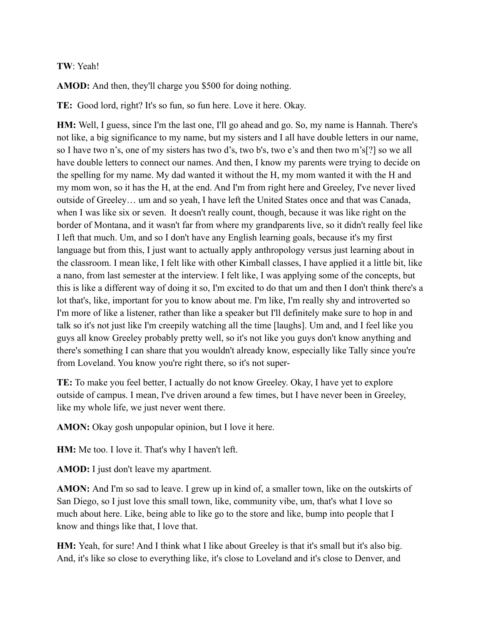## **TW**: Yeah!

**AMOD:** And then, they'll charge you \$500 for doing nothing.

**TE:** Good lord, right? It's so fun, so fun here. Love it here. Okay.

**HM:** Well, I guess, since I'm the last one, I'll go ahead and go. So, my name is Hannah. There's not like, a big significance to my name, but my sisters and I all have double letters in our name, so I have two n's, one of my sisters has two d's, two b's, two e's and then two m's[?] so we all have double letters to connect our names. And then, I know my parents were trying to decide on the spelling for my name. My dad wanted it without the H, my mom wanted it with the H and my mom won, so it has the H, at the end. And I'm from right here and Greeley, I've never lived outside of Greeley… um and so yeah, I have left the United States once and that was Canada, when I was like six or seven. It doesn't really count, though, because it was like right on the border of Montana, and it wasn't far from where my grandparents live, so it didn't really feel like I left that much. Um, and so I don't have any English learning goals, because it's my first language but from this, I just want to actually apply anthropology versus just learning about in the classroom. I mean like, I felt like with other Kimball classes, I have applied it a little bit, like a nano, from last semester at the interview. I felt like, I was applying some of the concepts, but this is like a different way of doing it so, I'm excited to do that um and then I don't think there's a lot that's, like, important for you to know about me. I'm like, I'm really shy and introverted so I'm more of like a listener, rather than like a speaker but I'll definitely make sure to hop in and talk so it's not just like I'm creepily watching all the time [laughs]. Um and, and I feel like you guys all know Greeley probably pretty well, so it's not like you guys don't know anything and there's something I can share that you wouldn't already know, especially like Tally since you're from Loveland. You know you're right there, so it's not super-

**TE:** To make you feel better, I actually do not know Greeley. Okay, I have yet to explore outside of campus. I mean, I've driven around a few times, but I have never been in Greeley, like my whole life, we just never went there.

**AMON:** Okay gosh unpopular opinion, but I love it here.

**HM:** Me too. I love it. That's why I haven't left.

**AMOD:** I just don't leave my apartment.

**AMON:** And I'm so sad to leave. I grew up in kind of, a smaller town, like on the outskirts of San Diego, so I just love this small town, like, community vibe, um, that's what I love so much about here. Like, being able to like go to the store and like, bump into people that I know and things like that, I love that.

**HM:** Yeah, for sure! And I think what I like about Greeley is that it's small but it's also big. And, it's like so close to everything like, it's close to Loveland and it's close to Denver, and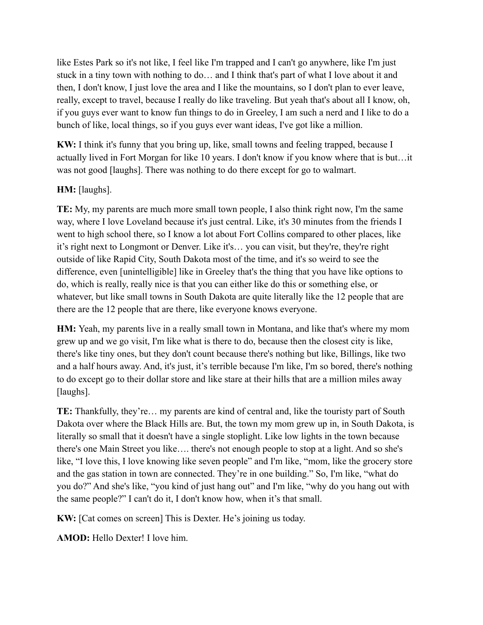like Estes Park so it's not like, I feel like I'm trapped and I can't go anywhere, like I'm just stuck in a tiny town with nothing to do… and I think that's part of what I love about it and then, I don't know, I just love the area and I like the mountains, so I don't plan to ever leave, really, except to travel, because I really do like traveling. But yeah that's about all I know, oh, if you guys ever want to know fun things to do in Greeley, I am such a nerd and I like to do a bunch of like, local things, so if you guys ever want ideas, I've got like a million.

**KW:** I think it's funny that you bring up, like, small towns and feeling trapped, because I actually lived in Fort Morgan for like 10 years. I don't know if you know where that is but…it was not good [laughs]. There was nothing to do there except for go to walmart.

# **HM:** [laughs].

**TE:** My, my parents are much more small town people, I also think right now, I'm the same way, where I love Loveland because it's just central. Like, it's 30 minutes from the friends I went to high school there, so I know a lot about Fort Collins compared to other places, like it's right next to Longmont or Denver. Like it's… you can visit, but they're, they're right outside of like Rapid City, South Dakota most of the time, and it's so weird to see the difference, even [unintelligible] like in Greeley that's the thing that you have like options to do, which is really, really nice is that you can either like do this or something else, or whatever, but like small towns in South Dakota are quite literally like the 12 people that are there are the 12 people that are there, like everyone knows everyone.

**HM:** Yeah, my parents live in a really small town in Montana, and like that's where my mom grew up and we go visit, I'm like what is there to do, because then the closest city is like, there's like tiny ones, but they don't count because there's nothing but like, Billings, like two and a half hours away. And, it's just, it's terrible because I'm like, I'm so bored, there's nothing to do except go to their dollar store and like stare at their hills that are a million miles away [laughs].

**TE:** Thankfully, they're… my parents are kind of central and, like the touristy part of South Dakota over where the Black Hills are. But, the town my mom grew up in, in South Dakota, is literally so small that it doesn't have a single stoplight. Like low lights in the town because there's one Main Street you like…. there's not enough people to stop at a light. And so she's like, "I love this, I love knowing like seven people" and I'm like, "mom, like the grocery store and the gas station in town are connected. They're in one building." So, I'm like, "what do you do?" And she's like, "you kind of just hang out" and I'm like, "why do you hang out with the same people?" I can't do it, I don't know how, when it's that small.

**KW:** [Cat comes on screen] This is Dexter. He's joining us today.

**AMOD:** Hello Dexter! I love him.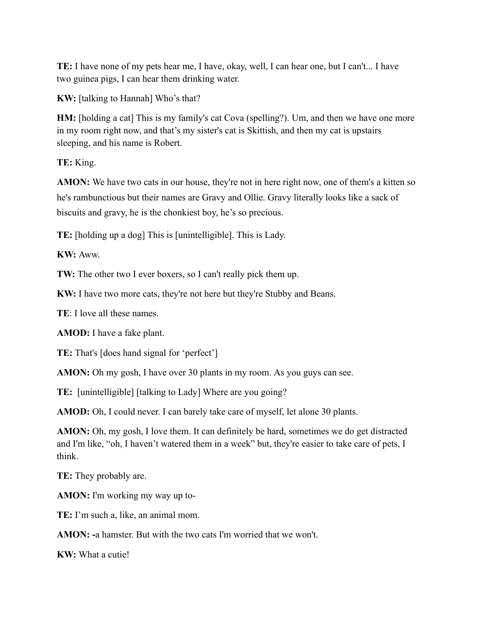**TE:** I have none of my pets hear me, I have, okay, well, I can hear one, but I can't... I have two guinea pigs, I can hear them drinking water.

**KW:** [talking to Hannah] Who's that?

**HM:** [holding a cat] This is my family's cat Cova (spelling?). Um, and then we have one more in my room right now, and that's my sister's cat is Skittish, and then my cat is upstairs sleeping, and his name is Robert.

**TE:** King.

**AMON:** We have two cats in our house, they're not in here right now, one of them's a kitten so he's rambunctious but their names are Gravy and Ollie. Gravy literally looks like a sack of biscuits and gravy, he is the chonkiest boy, he's so precious.

**TE:** [holding up a dog] This is [unintelligible]. This is Lady.

**KW:** Aww.

**TW:** The other two I ever boxers, so I can't really pick them up.

**KW:** I have two more cats, they're not here but they're Stubby and Beans.

**TE**: I love all these names.

**AMOD:** I have a fake plant.

**TE:** That's [does hand signal for 'perfect']

**AMON:** Oh my gosh, I have over 30 plants in my room. As you guys can see.

**TE:** [unintelligible] [talking to Lady] Where are you going?

**AMOD:** Oh, I could never. I can barely take care of myself, let alone 30 plants.

**AMON:** Oh, my gosh, I love them. It can definitely be hard, sometimes we do get distracted and I'm like, "oh, I haven't watered them in a week" but, they're easier to take care of pets, I think.

**TE:** They probably are.

**AMON:** I'm working my way up to-

**TE:** I'm such a, like, an animal mom.

**AMON: -**a hamster. But with the two cats I'm worried that we won't.

**KW:** What a cutie!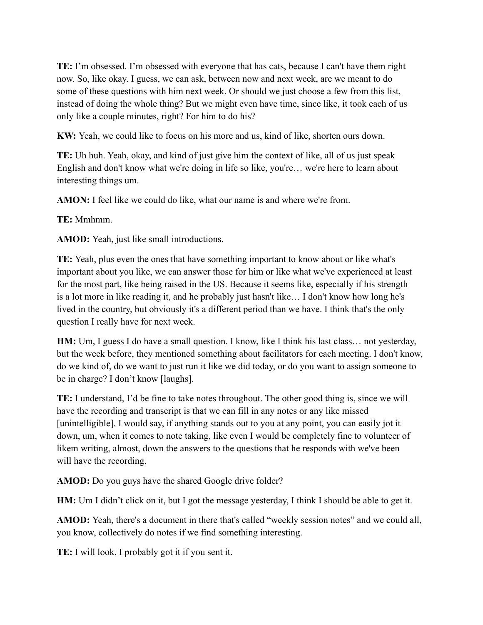**TE:** I'm obsessed. I'm obsessed with everyone that has cats, because I can't have them right now. So, like okay. I guess, we can ask, between now and next week, are we meant to do some of these questions with him next week. Or should we just choose a few from this list, instead of doing the whole thing? But we might even have time, since like, it took each of us only like a couple minutes, right? For him to do his?

**KW:** Yeah, we could like to focus on his more and us, kind of like, shorten ours down.

**TE:** Uh huh. Yeah, okay, and kind of just give him the context of like, all of us just speak English and don't know what we're doing in life so like, you're… we're here to learn about interesting things um.

**AMON:** I feel like we could do like, what our name is and where we're from.

**TE:** Mmhmm.

**AMOD:** Yeah, just like small introductions.

**TE:** Yeah, plus even the ones that have something important to know about or like what's important about you like, we can answer those for him or like what we've experienced at least for the most part, like being raised in the US. Because it seems like, especially if his strength is a lot more in like reading it, and he probably just hasn't like… I don't know how long he's lived in the country, but obviously it's a different period than we have. I think that's the only question I really have for next week.

**HM:** Um, I guess I do have a small question. I know, like I think his last class… not yesterday, but the week before, they mentioned something about facilitators for each meeting. I don't know, do we kind of, do we want to just run it like we did today, or do you want to assign someone to be in charge? I don't know [laughs].

**TE:** I understand, I'd be fine to take notes throughout. The other good thing is, since we will have the recording and transcript is that we can fill in any notes or any like missed [unintelligible]. I would say, if anything stands out to you at any point, you can easily jot it down, um, when it comes to note taking, like even I would be completely fine to volunteer of likem writing, almost, down the answers to the questions that he responds with we've been will have the recording.

**AMOD:** Do you guys have the shared Google drive folder?

**HM:** Um I didn't click on it, but I got the message yesterday, I think I should be able to get it.

**AMOD:** Yeah, there's a document in there that's called "weekly session notes" and we could all, you know, collectively do notes if we find something interesting.

**TE:** I will look. I probably got it if you sent it.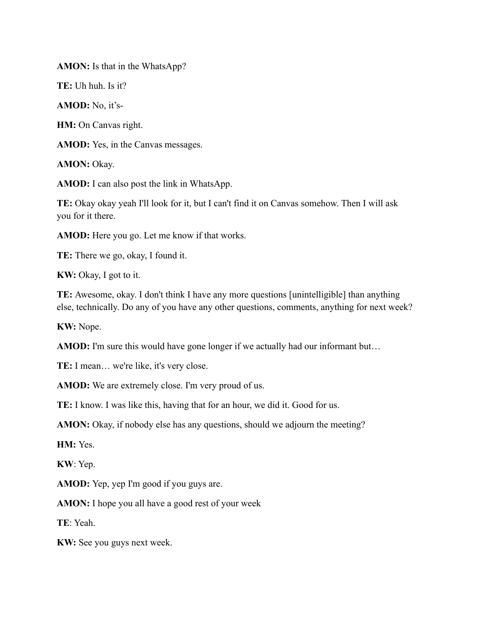**AMON:** Is that in the WhatsApp?

**TE:** Uh huh. Is it?

**AMOD:** No, it's-

**HM:** On Canvas right.

**AMOD:** Yes, in the Canvas messages.

**AMON:** Okay.

**AMOD:** I can also post the link in WhatsApp.

**TE:** Okay okay yeah I'll look for it, but I can't find it on Canvas somehow. Then I will ask you for it there.

**AMOD:** Here you go. Let me know if that works.

**TE:** There we go, okay, I found it.

**KW:** Okay, I got to it.

**TE:** Awesome, okay. I don't think I have any more questions [unintelligible] than anything else, technically. Do any of you have any other questions, comments, anything for next week?

**KW:** Nope.

**AMOD:** I'm sure this would have gone longer if we actually had our informant but...

**TE:** I mean… we're like, it's very close.

**AMOD:** We are extremely close. I'm very proud of us.

**TE:** I know. I was like this, having that for an hour, we did it. Good for us.

**AMON:** Okay, if nobody else has any questions, should we adjourn the meeting?

**HM:** Yes.

**KW**: Yep.

**AMOD:** Yep, yep I'm good if you guys are.

**AMON:** I hope you all have a good rest of your week

**TE**: Yeah.

**KW:** See you guys next week.